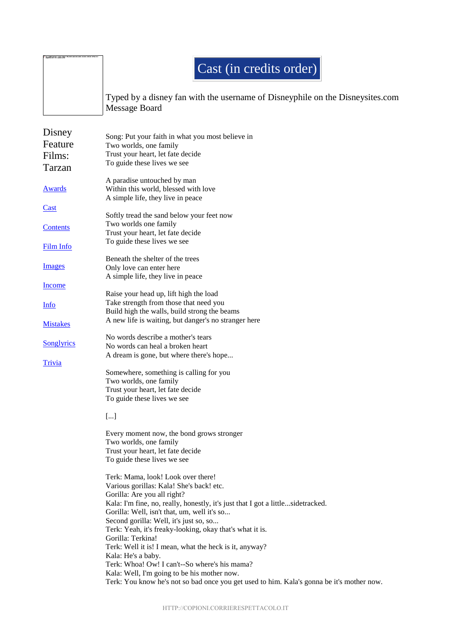## Cast (in credits order)

Typed by a disney fan with the username of Disneyphile on the Disneysites.com Message Board

| Disney            |                                                                                                                |
|-------------------|----------------------------------------------------------------------------------------------------------------|
| Feature           | Song: Put your faith in what you most believe in<br>Two worlds, one family                                     |
| Films:            | Trust your heart, let fate decide                                                                              |
|                   | To guide these lives we see                                                                                    |
| Tarzan            |                                                                                                                |
|                   | A paradise untouched by man                                                                                    |
| <u>Awards</u>     | Within this world, blessed with love                                                                           |
|                   | A simple life, they live in peace                                                                              |
| <b>Cast</b>       |                                                                                                                |
|                   | Softly tread the sand below your feet now<br>Two worlds one family                                             |
| Contents          | Trust your heart, let fate decide                                                                              |
|                   | To guide these lives we see                                                                                    |
| <b>Film Info</b>  |                                                                                                                |
|                   | Beneath the shelter of the trees                                                                               |
| <b>Images</b>     | Only love can enter here                                                                                       |
|                   | A simple life, they live in peace                                                                              |
| <u>Income</u>     |                                                                                                                |
|                   | Raise your head up, lift high the load                                                                         |
| Info              | Take strength from those that need you                                                                         |
|                   | Build high the walls, build strong the beams<br>A new life is waiting, but danger's no stranger here           |
| <b>Mistakes</b>   |                                                                                                                |
|                   | No words describe a mother's tears                                                                             |
| <b>Songlyrics</b> | No words can heal a broken heart                                                                               |
|                   | A dream is gone, but where there's hope                                                                        |
| <b>Trivia</b>     |                                                                                                                |
|                   | Somewhere, something is calling for you                                                                        |
|                   | Two worlds, one family                                                                                         |
|                   | Trust your heart, let fate decide                                                                              |
|                   | To guide these lives we see                                                                                    |
|                   | $[]$                                                                                                           |
|                   | Every moment now, the bond grows stronger                                                                      |
|                   | Two worlds, one family                                                                                         |
|                   | Trust your heart, let fate decide                                                                              |
|                   | To guide these lives we see                                                                                    |
|                   |                                                                                                                |
|                   | Terk: Mama, look! Look over there!                                                                             |
|                   | Various gorillas: Kala! She's back! etc.                                                                       |
|                   | Gorilla: Are you all right?<br>Kala: I'm fine, no, really, honestly, it's just that I got a littlesidetracked. |
|                   | Gorilla: Well, isn't that, um, well it's so                                                                    |
|                   | Second gorilla: Well, it's just so, so                                                                         |
|                   | Terk: Yeah, it's freaky-looking, okay that's what it is.                                                       |
|                   | Gorilla: Terkina!                                                                                              |
|                   | Terk: Well it is! I mean, what the heck is it, anyway?                                                         |
|                   | Kala: He's a baby.                                                                                             |
|                   | Terk: Whoa! Ow! I can't--So where's his mama?                                                                  |
|                   | Kala: Well, I'm going to be his mother now.                                                                    |
|                   | Terk: You know he's not so bad once you get used to him. Kala's gonna be it's mother now.                      |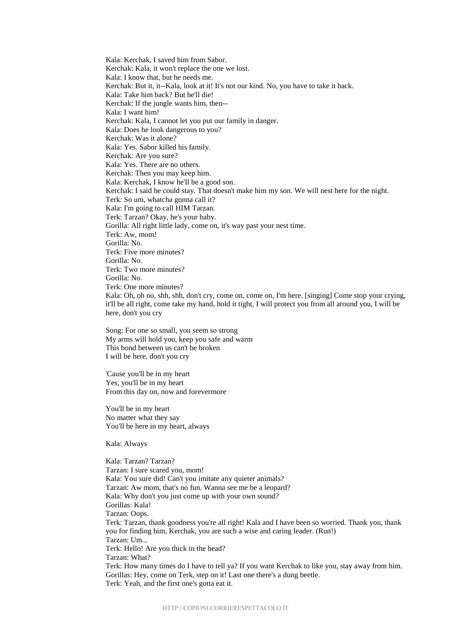Kala: Kerchak, I saved him from Sabor. Kerchak: Kala, it won't replace the one we lost. Kala: I know that, but he needs me. Kerchak: But it, it--Kala, look at it! It's not our kind. No, you have to take it back. Kala: Take him back? But he'll die! Kerchak: If the jungle wants him, then-- Kala: I want him! Kerchak: Kala, I cannot let you put our family in danger. Kala: Does he look dangerous to you? Kerchak: Was it alone? Kala: Yes. Sabor killed his family. Kerchak: Are you sure? Kala: Yes. There are no others. Kerchak: Then you may keep him. Kala: Kerchak, I know he'll be a good son. Kerchak: I said he could stay. That doesn't make him my son. We will nest here for the night. Terk: So um, whatcha gonna call it? Kala: I'm going to call HIM Tarzan. Terk: Tarzan? Okay, he's your baby. Gorilla: All right little lady, come on, it's way past your nest time. Terk: Aw, mom! Gorilla: No. Terk: Five more minutes? Gorilla: No. Terk: Two more minutes? Gorilla: No. Terk: One more minutes? Kala: Oh, oh no, shh, shh, don't cry, come on, come on, I'm here. [singing] Come stop your crying, it'll be all right, come take my hand, hold it tight, I will protect you from all around you, I will be here, don't you cry

Song: For one so small, you seem so strong My arms will hold you, keep you safe and warm This bond between us can't be broken I will be here, don't you cry

'Cause you'll be in my heart Yes, you'll be in my heart From this day on, now and forevermore

You'll be in my heart No matter what they say You'll be here in my heart, always

Kala: Always

Kala: Tarzan? Tarzan? Tarzan: I sure scared you, mom! Kala: You sure did! Can't you imitate any quieter animals? Tarzan: Aw mom, that's no fun. Wanna see me be a leopard? Kala: Why don't you just come up with your own sound? Gorillas: Kala! Tarzan: Oops. Terk: Tarzan, thank goodness you're all right! Kala and I have been so worried. Thank you, thank you for finding him, Kerchak, you are such a wise and caring leader. (Run!) Tarzan: Um... Terk: Hello! Are you thick in the head? Tarzan: What? Terk: How many times do I have to tell ya? If you want Kerchak to like you, stay away from him. Gorillas: Hey, come on Terk, step on it! Last one there's a dung beetle. Terk: Yeah, and the first one's gotta eat it.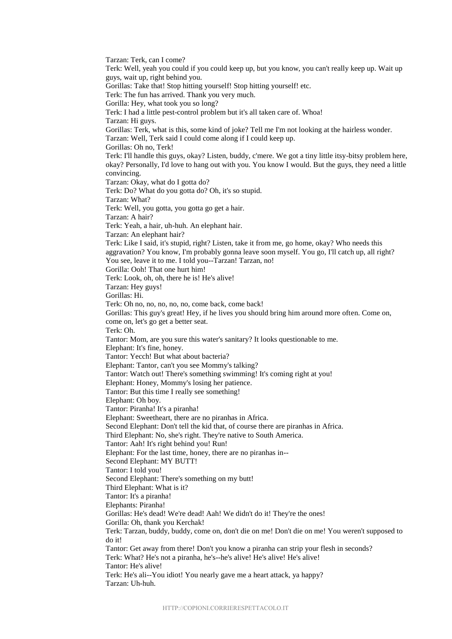Tarzan: Terk, can I come? Terk: Well, yeah you could if you could keep up, but you know, you can't really keep up. Wait up guys, wait up, right behind you. Gorillas: Take that! Stop hitting yourself! Stop hitting yourself! etc. Terk: The fun has arrived. Thank you very much. Gorilla: Hey, what took you so long? Terk: I had a little pest-control problem but it's all taken care of. Whoa! Tarzan: Hi guys. Gorillas: Terk, what is this, some kind of joke? Tell me I'm not looking at the hairless wonder. Tarzan: Well, Terk said I could come along if I could keep up. Gorillas: Oh no, Terk! Terk: I'll handle this guys, okay? Listen, buddy, c'mere. We got a tiny little itsy-bitsy problem here, okay? Personally, I'd love to hang out with you. You know I would. But the guys, they need a little convincing. Tarzan: Okay, what do I gotta do? Terk: Do? What do you gotta do? Oh, it's so stupid. Tarzan: What? Terk: Well, you gotta, you gotta go get a hair. Tarzan: A hair? Terk: Yeah, a hair, uh-huh. An elephant hair. Tarzan: An elephant hair? Terk: Like I said, it's stupid, right? Listen, take it from me, go home, okay? Who needs this aggravation? You know, I'm probably gonna leave soon myself. You go, I'll catch up, all right? You see, leave it to me. I told you--Tarzan! Tarzan, no! Gorilla: Ooh! That one hurt him! Terk: Look, oh, oh, there he is! He's alive! Tarzan: Hey guys! Gorillas: Hi. Terk: Oh no, no, no, no, no, come back, come back! Gorillas: This guy's great! Hey, if he lives you should bring him around more often. Come on, come on, let's go get a better seat. Terk: Oh. Tantor: Mom, are you sure this water's sanitary? It looks questionable to me. Elephant: It's fine, honey. Tantor: Yecch! But what about bacteria? Elephant: Tantor, can't you see Mommy's talking? Tantor: Watch out! There's something swimming! It's coming right at you! Elephant: Honey, Mommy's losing her patience. Tantor: But this time I really see something! Elephant: Oh boy. Tantor: Piranha! It's a piranha! Elephant: Sweetheart, there are no piranhas in Africa. Second Elephant: Don't tell the kid that, of course there are piranhas in Africa. Third Elephant: No, she's right. They're native to South America. Tantor: Aah! It's right behind you! Run! Elephant: For the last time, honey, there are no piranhas in-- Second Elephant: MY BUTT! Tantor: I told you! Second Elephant: There's something on my butt! Third Elephant: What is it? Tantor: It's a piranha! Elephants: Piranha! Gorillas: He's dead! We're dead! Aah! We didn't do it! They're the ones! Gorilla: Oh, thank you Kerchak! Terk: Tarzan, buddy, buddy, come on, don't die on me! Don't die on me! You weren't supposed to do it! Tantor: Get away from there! Don't you know a piranha can strip your flesh in seconds? Terk: What? He's not a piranha, he's--he's alive! He's alive! He's alive! Tantor: He's alive! Terk: He's ali--You idiot! You nearly gave me a heart attack, ya happy? Tarzan: Uh-huh.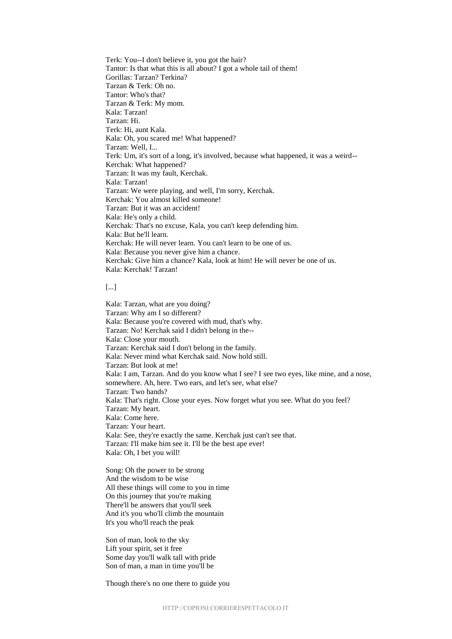Terk: You--I don't believe it, you got the hair? Tantor: Is that what this is all about? I got a whole tail of them! Gorillas: Tarzan? Terkina? Tarzan & Terk: Oh no. Tantor: Who's that? Tarzan & Terk: My mom. Kala: Tarzan! Tarzan: Hi. Terk: Hi, aunt Kala. Kala: Oh, you scared me! What happened? Tarzan: Well, I... Terk: Um, it's sort of a long, it's involved, because what happened, it was a weird-- Kerchak: What happened? Tarzan: It was my fault, Kerchak. Kala: Tarzan! Tarzan: We were playing, and well, I'm sorry, Kerchak. Kerchak: You almost killed someone! Tarzan: But it was an accident! Kala: He's only a child. Kerchak: That's no excuse, Kala, you can't keep defending him. Kala: But he'll learn. Kerchak: He will never learn. You can't learn to be one of us. Kala: Because you never give him a chance. Kerchak: Give him a chance? Kala, look at him! He will never be one of us. Kala: Kerchak! Tarzan!

## [...]

Kala: Tarzan, what are you doing? Tarzan: Why am I so different? Kala: Because you're covered with mud, that's why. Tarzan: No! Kerchak said I didn't belong in the-- Kala: Close your mouth. Tarzan: Kerchak said I don't belong in the family. Kala: Never mind what Kerchak said. Now hold still. Tarzan: But look at me! Kala: I am, Tarzan. And do you know what I see? I see two eyes, like mine, and a nose, somewhere. Ah, here. Two ears, and let's see, what else? Tarzan: Two hands? Kala: That's right. Close your eyes. Now forget what you see. What do you feel? Tarzan: My heart. Kala: Come here. Tarzan: Your heart. Kala: See, they're exactly the same. Kerchak just can't see that. Tarzan: I'll make him see it. I'll be the best ape ever! Kala: Oh, I bet you will!

Song: Oh the power to be strong And the wisdom to be wise All these things will come to you in time On this journey that you're making There'll be answers that you'll seek And it's you who'll climb the mountain It's you who'll reach the peak

Son of man, look to the sky Lift your spirit, set it free Some day you'll walk tall with pride Son of man, a man in time you'll be

Though there's no one there to guide you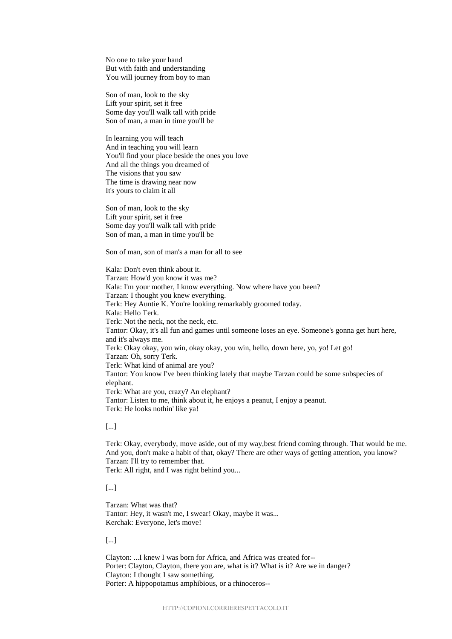No one to take your hand But with faith and understanding You will journey from boy to man

Son of man, look to the sky Lift your spirit, set it free Some day you'll walk tall with pride Son of man, a man in time you'll be

In learning you will teach And in teaching you will learn You'll find your place beside the ones you love And all the things you dreamed of The visions that you saw The time is drawing near now It's yours to claim it all

Son of man, look to the sky Lift your spirit, set it free Some day you'll walk tall with pride Son of man, a man in time you'll be

Son of man, son of man's a man for all to see

Kala: Don't even think about it. Tarzan: How'd you know it was me? Kala: I'm your mother, I know everything. Now where have you been? Tarzan: I thought you knew everything. Terk: Hey Auntie K. You're looking remarkably groomed today. Kala: Hello Terk. Terk: Not the neck, not the neck, etc. Tantor: Okay, it's all fun and games until someone loses an eye. Someone's gonna get hurt here, and it's always me. Terk: Okay okay, you win, okay okay, you win, hello, down here, yo, yo! Let go! Tarzan: Oh, sorry Terk. Terk: What kind of animal are you? Tantor: You know I've been thinking lately that maybe Tarzan could be some subspecies of elephant. Terk: What are you, crazy? An elephant? Tantor: Listen to me, think about it, he enjoys a peanut, I enjoy a peanut. Terk: He looks nothin' like ya!

[...]

Terk: Okay, everybody, move aside, out of my way,best friend coming through. That would be me. And you, don't make a habit of that, okay? There are other ways of getting attention, you know? Tarzan: I'll try to remember that. Terk: All right, and I was right behind you...

[...]

Tarzan: What was that? Tantor: Hey, it wasn't me, I swear! Okay, maybe it was... Kerchak: Everyone, let's move!

[...]

Clayton: ...I knew I was born for Africa, and Africa was created for-- Porter: Clayton, Clayton, there you are, what is it? What is it? Are we in danger? Clayton: I thought I saw something. Porter: A hippopotamus amphibious, or a rhinoceros--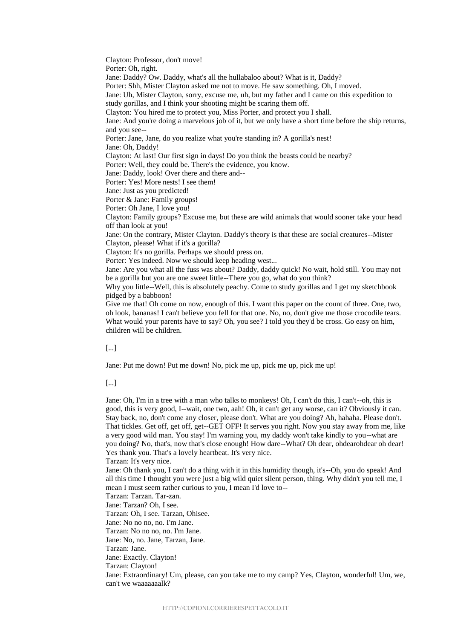Clayton: Professor, don't move! Porter: Oh, right. Jane: Daddy? Ow. Daddy, what's all the hullabaloo about? What is it, Daddy? Porter: Shh, Mister Clayton asked me not to move. He saw something. Oh, I moved. Jane: Uh, Mister Clayton, sorry, excuse me, uh, but my father and I came on this expedition to study gorillas, and I think your shooting might be scaring them off. Clayton: You hired me to protect you, Miss Porter, and protect you I shall. Jane: And you're doing a marvelous job of it, but we only have a short time before the ship returns, and you see-- Porter: Jane, Jane, do you realize what you're standing in? A gorilla's nest! Jane: Oh, Daddy! Clayton: At last! Our first sign in days! Do you think the beasts could be nearby? Porter: Well, they could be. There's the evidence, you know. Jane: Daddy, look! Over there and there and--Porter: Yes! More nests! I see them! Jane: Just as you predicted! Porter & Jane: Family groups! Porter: Oh Jane, I love you! Clayton: Family groups? Excuse me, but these are wild animals that would sooner take your head off than look at you! Jane: On the contrary, Mister Clayton. Daddy's theory is that these are social creatures--Mister Clayton, please! What if it's a gorilla? Clayton: It's no gorilla. Perhaps we should press on. Porter: Yes indeed. Now we should keep heading west... Jane: Are you what all the fuss was about? Daddy, daddy quick! No wait, hold still. You may not be a gorilla but you are one sweet little--There you go, what do you think? Why you little--Well, this is absolutely peachy. Come to study gorillas and I get my sketchbook pidged by a babboon! Give me that! Oh come on now, enough of this. I want this paper on the count of three. One, two, oh look, bananas! I can't believe you fell for that one. No, no, don't give me those crocodile tears.

What would your parents have to say? Oh, you see? I told you they'd be cross. Go easy on him, children will be children.

[...]

Jane: Put me down! Put me down! No, pick me up, pick me up, pick me up!

[...]

Jane: Oh, I'm in a tree with a man who talks to monkeys! Oh, I can't do this, I can't--oh, this is good, this is very good, I--wait, one two, aah! Oh, it can't get any worse, can it? Obviously it can. Stay back, no, don't come any closer, please don't. What are you doing? Ah, hahaha. Please don't. That tickles. Get off, get off, get--GET OFF! It serves you right. Now you stay away from me, like a very good wild man. You stay! I'm warning you, my daddy won't take kindly to you--what are you doing? No, that's, now that's close enough! How dare--What? Oh dear, ohdearohdear oh dear! Yes thank you. That's a lovely heartbeat. It's very nice. Tarzan: It's very nice.

Jane: Oh thank you, I can't do a thing with it in this humidity though, it's--Oh, you do speak! And all this time I thought you were just a big wild quiet silent person, thing. Why didn't you tell me, I mean I must seem rather curious to you, I mean I'd love to--

Tarzan: Tarzan. Tar-zan. Jane: Tarzan? Oh, I see. Tarzan: Oh, I see. Tarzan, Ohisee. Jane: No no no, no. I'm Jane. Tarzan: No no no, no. I'm Jane. Jane: No, no. Jane, Tarzan, Jane. Tarzan: Jane. Jane: Exactly. Clayton! Tarzan: Clayton! Jane: Extraordinary! Um, please, can you take me to my camp? Yes, Clayton, wonderful! Um, we, can't we waaaaaaalk?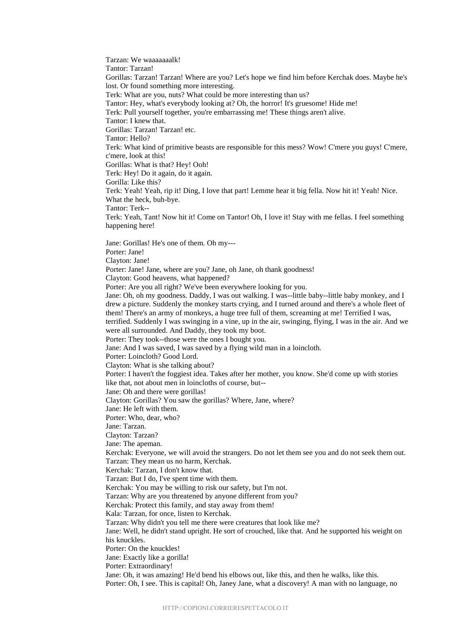Tarzan: We waaaaaaalk! Tantor: Tarzan! Gorillas: Tarzan! Tarzan! Where are you? Let's hope we find him before Kerchak does. Maybe he's lost. Or found something more interesting. Terk: What are you, nuts? What could be more interesting than us? Tantor: Hey, what's everybody looking at? Oh, the horror! It's gruesome! Hide me! Terk: Pull yourself together, you're embarrassing me! These things aren't alive. Tantor: I knew that. Gorillas: Tarzan! Tarzan! etc. Tantor: Hello? Terk: What kind of primitive beasts are responsible for this mess? Wow! C'mere you guys! C'mere, c'mere, look at this! Gorillas: What is that? Hey! Ooh! Terk: Hey! Do it again, do it again. Gorilla: Like this? Terk: Yeah! Yeah, rip it! Ding, I love that part! Lemme hear it big fella. Now hit it! Yeah! Nice. What the heck, buh-bye. Tantor: Terk-- Terk: Yeah, Tant! Now hit it! Come on Tantor! Oh, I love it! Stay with me fellas. I feel something happening here! Jane: Gorillas! He's one of them. Oh my--- Porter: Jane! Clayton: Jane! Porter: Jane! Jane, where are you? Jane, oh Jane, oh thank goodness! Clayton: Good heavens, what happened? Porter: Are you all right? We've been everywhere looking for you. Jane: Oh, oh my goodness. Daddy, I was out walking. I was--little baby--little baby monkey, and I drew a picture. Suddenly the monkey starts crying, and I turned around and there's a whole fleet of them! There's an army of monkeys, a huge tree full of them, screaming at me! Terrified I was, terrified. Suddenly I was swinging in a vine, up in the air, swinging, flying, I was in the air. And we were all surrounded. And Daddy, they took my boot. Porter: They took--those were the ones I bought you. Jane: And I was saved, I was saved by a flying wild man in a loincloth. Porter: Loincloth? Good Lord. Clayton: What is she talking about? Porter: I haven't the foggiest idea. Takes after her mother, you know. She'd come up with stories like that, not about men in loincloths of course, but-- Jane: Oh and there were gorillas! Clayton: Gorillas? You saw the gorillas? Where, Jane, where? Jane: He left with them. Porter: Who, dear, who? Jane: Tarzan. Clayton: Tarzan? Jane: The apeman. Kerchak: Everyone, we will avoid the strangers. Do not let them see you and do not seek them out. Tarzan: They mean us no harm, Kerchak. Kerchak: Tarzan, I don't know that. Tarzan: But I do, I've spent time with them. Kerchak: You may be willing to risk our safety, but I'm not. Tarzan: Why are you threatened by anyone different from you? Kerchak: Protect this family, and stay away from them! Kala: Tarzan, for once, listen to Kerchak. Tarzan: Why didn't you tell me there were creatures that look like me? Jane: Well, he didn't stand upright. He sort of crouched, like that. And he supported his weight on his knuckles. Porter: On the knuckles! Jane: Exactly like a gorilla! Porter: Extraordinary! Jane: Oh, it was amazing! He'd bend his elbows out, like this, and then he walks, like this. Porter: Oh, I see. This is capital! Oh, Janey Jane, what a discovery! A man with no language, no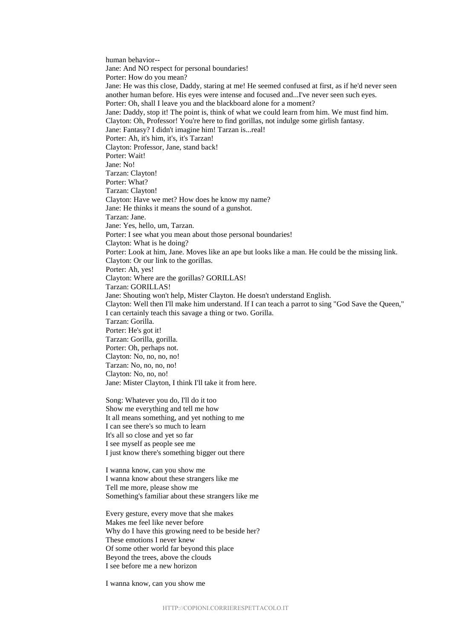human behavior-- Jane: And NO respect for personal boundaries! Porter: How do you mean? Jane: He was this close, Daddy, staring at me! He seemed confused at first, as if he'd never seen another human before. His eyes were intense and focused and...I've never seen such eyes. Porter: Oh, shall I leave you and the blackboard alone for a moment? Jane: Daddy, stop it! The point is, think of what we could learn from him. We must find him. Clayton: Oh, Professor! You're here to find gorillas, not indulge some girlish fantasy. Jane: Fantasy? I didn't imagine him! Tarzan is...real! Porter: Ah, it's him, it's, it's Tarzan! Clayton: Professor, Jane, stand back! Porter: Wait! Jane: No! Tarzan: Clayton! Porter: What? Tarzan: Clayton! Clayton: Have we met? How does he know my name? Jane: He thinks it means the sound of a gunshot. Tarzan: Jane. Jane: Yes, hello, um, Tarzan. Porter: I see what you mean about those personal boundaries! Clayton: What is he doing? Porter: Look at him, Jane. Moves like an ape but looks like a man. He could be the missing link. Clayton: Or our link to the gorillas. Porter: Ah, yes! Clayton: Where are the gorillas? GORILLAS! Tarzan: GORILLAS! Jane: Shouting won't help, Mister Clayton. He doesn't understand English. Clayton: Well then I'll make him understand. If I can teach a parrot to sing "God Save the Queen," I can certainly teach this savage a thing or two. Gorilla. Tarzan: Gorilla. Porter: He's got it! Tarzan: Gorilla, gorilla. Porter: Oh, perhaps not. Clayton: No, no, no, no! Tarzan: No, no, no, no! Clayton: No, no, no! Jane: Mister Clayton, I think I'll take it from here.

Song: Whatever you do, I'll do it too Show me everything and tell me how It all means something, and yet nothing to me I can see there's so much to learn It's all so close and yet so far I see myself as people see me I just know there's something bigger out there

I wanna know, can you show me I wanna know about these strangers like me Tell me more, please show me Something's familiar about these strangers like me

Every gesture, every move that she makes Makes me feel like never before Why do I have this growing need to be beside her? These emotions I never knew Of some other world far beyond this place Beyond the trees, above the clouds I see before me a new horizon

I wanna know, can you show me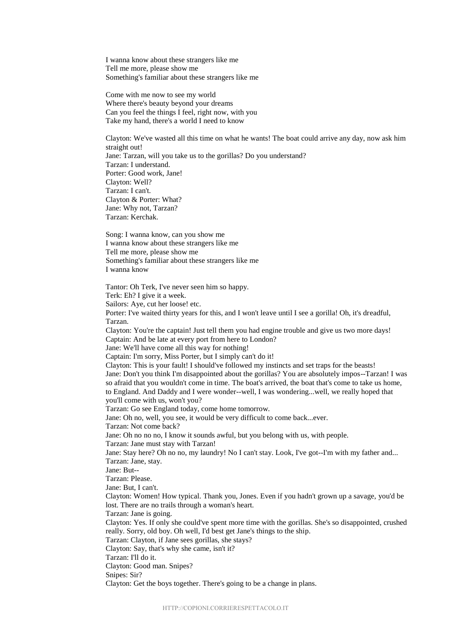I wanna know about these strangers like me Tell me more, please show me Something's familiar about these strangers like me

Come with me now to see my world Where there's beauty beyond your dreams Can you feel the things I feel, right now, with you Take my hand, there's a world I need to know

Clayton: We've wasted all this time on what he wants! The boat could arrive any day, now ask him straight out! Jane: Tarzan, will you take us to the gorillas? Do you understand? Tarzan: I understand. Porter: Good work, Jane! Clayton: Well? Tarzan: I can't. Clayton & Porter: What? Jane: Why not, Tarzan?

Tarzan: Kerchak.

Song: I wanna know, can you show me I wanna know about these strangers like me Tell me more, please show me Something's familiar about these strangers like me I wanna know

Tantor: Oh Terk, I've never seen him so happy. Terk: Eh? I give it a week. Sailors: Aye, cut her loose! etc. Porter: I've waited thirty years for this, and I won't leave until I see a gorilla! Oh, it's dreadful, Tarzan. Clayton: You're the captain! Just tell them you had engine trouble and give us two more days! Captain: And be late at every port from here to London? Jane: We'll have come all this way for nothing! Captain: I'm sorry, Miss Porter, but I simply can't do it! Clayton: This is your fault! I should've followed my instincts and set traps for the beasts! Jane: Don't you think I'm disappointed about the gorillas? You are absolutely impos--Tarzan! I was so afraid that you wouldn't come in time. The boat's arrived, the boat that's come to take us home, to England. And Daddy and I were wonder--well, I was wondering...well, we really hoped that you'll come with us, won't you? Tarzan: Go see England today, come home tomorrow. Jane: Oh no, well, you see, it would be very difficult to come back...ever. Tarzan: Not come back? Jane: Oh no no no, I know it sounds awful, but you belong with us, with people. Tarzan: Jane must stay with Tarzan! Jane: Stay here? Oh no no, my laundry! No I can't stay. Look, I've got--I'm with my father and... Tarzan: Jane, stay. Jane: But-- Tarzan: Please. Jane: But, I can't. Clayton: Women! How typical. Thank you, Jones. Even if you hadn't grown up a savage, you'd be lost. There are no trails through a woman's heart. Tarzan: Jane is going. Clayton: Yes. If only she could've spent more time with the gorillas. She's so disappointed, crushed really. Sorry, old boy. Oh well, I'd best get Jane's things to the ship. Tarzan: Clayton, if Jane sees gorillas, she stays? Clayton: Say, that's why she came, isn't it? Tarzan: I'll do it. Clayton: Good man. Snipes? Snipes: Sir? Clayton: Get the boys together. There's going to be a change in plans.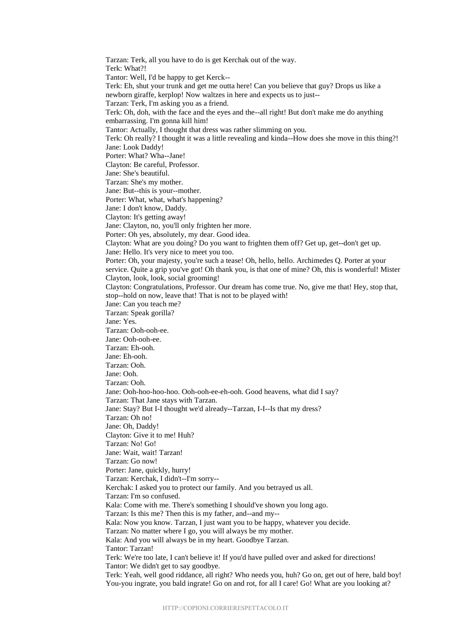Tarzan: Terk, all you have to do is get Kerchak out of the way. Terk: What?! Tantor: Well, I'd be happy to get Kerck-- Terk: Eh, shut your trunk and get me outta here! Can you believe that guy? Drops us like a newborn giraffe, kerplop! Now waltzes in here and expects us to just-- Tarzan: Terk, I'm asking you as a friend. Terk: Oh, doh, with the face and the eyes and the--all right! But don't make me do anything embarrassing. I'm gonna kill him! Tantor: Actually, I thought that dress was rather slimming on you. Terk: Oh really? I thought it was a little revealing and kinda--How does she move in this thing?! Jane: Look Daddy! Porter: What? Wha--Jane! Clayton: Be careful, Professor. Jane: She's beautiful. Tarzan: She's my mother. Jane: But--this is your--mother. Porter: What, what, what's happening? Jane: I don't know, Daddy. Clayton: It's getting away! Jane: Clayton, no, you'll only frighten her more. Porter: Oh yes, absolutely, my dear. Good idea. Clayton: What are you doing? Do you want to frighten them off? Get up, get--don't get up. Jane: Hello. It's very nice to meet you too. Porter: Oh, your majesty, you're such a tease! Oh, hello, hello. Archimedes Q. Porter at your service. Quite a grip you've got! Oh thank you, is that one of mine? Oh, this is wonderful! Mister Clayton, look, look, social grooming! Clayton: Congratulations, Professor. Our dream has come true. No, give me that! Hey, stop that, stop--hold on now, leave that! That is not to be played with! Jane: Can you teach me? Tarzan: Speak gorilla? Jane: Yes. Tarzan: Ooh-ooh-ee. Jane: Ooh-ooh-ee. Tarzan: Eh-ooh. Jane: Eh-ooh. Tarzan: Ooh. Jane: Ooh. Tarzan: Ooh. Jane: Ooh-hoo-hoo-hoo. Ooh-ooh-ee-eh-ooh. Good heavens, what did I say? Tarzan: That Jane stays with Tarzan. Jane: Stay? But I-I thought we'd already--Tarzan, I-I--Is that my dress? Tarzan: Oh no! Jane: Oh, Daddy! Clayton: Give it to me! Huh? Tarzan: No! Go! Jane: Wait, wait! Tarzan! Tarzan: Go now! Porter: Jane, quickly, hurry! Tarzan: Kerchak, I didn't--I'm sorry-- Kerchak: I asked you to protect our family. And you betrayed us all. Tarzan: I'm so confused. Kala: Come with me. There's something I should've shown you long ago. Tarzan: Is this me? Then this is my father, and--and my-- Kala: Now you know. Tarzan, I just want you to be happy, whatever you decide. Tarzan: No matter where I go, you will always be my mother. Kala: And you will always be in my heart. Goodbye Tarzan. Tantor: Tarzan! Terk: We're too late, I can't believe it! If you'd have pulled over and asked for directions! Tantor: We didn't get to say goodbye. Terk: Yeah, well good riddance, all right? Who needs you, huh? Go on, get out of here, bald boy! You-you ingrate, you bald ingrate! Go on and rot, for all I care! Go! What are you looking at?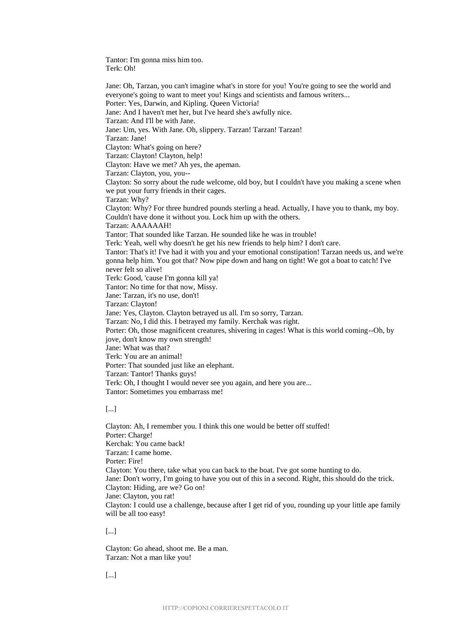Tantor: I'm gonna miss him too. Terk: Oh!

Jane: Oh, Tarzan, you can't imagine what's in store for you! You're going to see the world and everyone's going to want to meet you! Kings and scientists and famous writers... Porter: Yes, Darwin, and Kipling. Queen Victoria! Jane: And I haven't met her, but I've heard she's awfully nice. Tarzan: And I'll be with Jane. Jane: Um, yes. With Jane. Oh, slippery. Tarzan! Tarzan! Tarzan! Tarzan: Jane! Clayton: What's going on here? Tarzan: Clayton! Clayton, help! Clayton: Have we met? Ah yes, the apeman. Tarzan: Clayton, you, you-- Clayton: So sorry about the rude welcome, old boy, but I couldn't have you making a scene when we put your furry friends in their cages. Tarzan: Why? Clayton: Why? For three hundred pounds sterling a head. Actually, I have you to thank, my boy. Couldn't have done it without you. Lock him up with the others. Tarzan: AAAAAAH! Tantor: That sounded like Tarzan. He sounded like he was in trouble! Terk: Yeah, well why doesn't he get his new friends to help him? I don't care. Tantor: That's it! I've had it with you and your emotional constipation! Tarzan needs us, and we're gonna help him. You got that? Now pipe down and hang on tight! We got a boat to catch! I've never felt so alive! Terk: Good, 'cause I'm gonna kill ya! Tantor: No time for that now, Missy. Jane: Tarzan, it's no use, don't! Tarzan: Clayton! Jane: Yes, Clayton. Clayton betrayed us all. I'm so sorry, Tarzan. Tarzan: No, I did this. I betrayed my family. Kerchak was right. Porter: Oh, those magnificent creatures, shivering in cages! What is this world coming--Oh, by jove, don't know my own strength! Jane: What was that? Terk: You are an animal! Porter: That sounded just like an elephant. Tarzan: Tantor! Thanks guys! Terk: Oh, I thought I would never see you again, and here you are... Tantor: Sometimes you embarrass me!

## [...]

Clayton: Ah, I remember you. I think this one would be better off stuffed! Porter: Charge! Kerchak: You came back! Tarzan: I came home. Porter: Fire! Clayton: You there, take what you can back to the boat. I've got some hunting to do. Jane: Don't worry, I'm going to have you out of this in a second. Right, this should do the trick. Clayton: Hiding, are we? Go on! Jane: Clayton, you rat! Clayton: I could use a challenge, because after I get rid of you, rounding up your little ape family will be all too easy!

[...]

Clayton: Go ahead, shoot me. Be a man. Tarzan: Not a man like you!

[...]